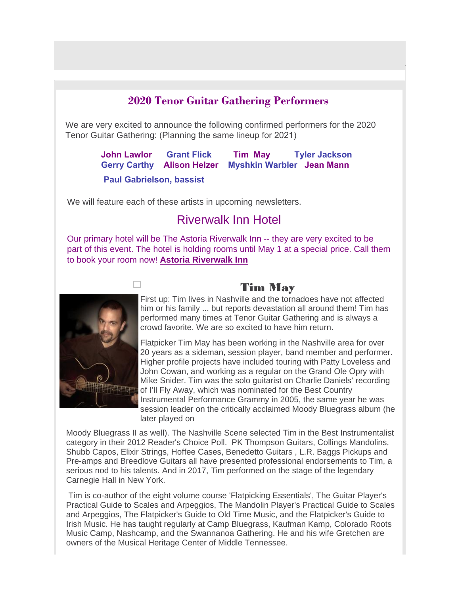#### **2020 Tenor Guitar Gathering Performers**

We are very excited to announce the following confirmed performers for the 2020<br>Tenor Guitar Gathering: (Planning the same lineup for 2021)

**John Lawlor Grant Flick Tim May Tyler Jackson Gerry Carthy Alison Helzer Myshkin Warbler Jean Mann Paul Gabrielson, bassist**

We will feature each of these artists in upcoming newsletters.

# Riverwalk Inn Hotel

Our primary hotel will be The Astoria Riverwalk Inn -- they are very excited to be part of this event. The hotel is holding rooms until May 1 at a special price. Call them to book your room now! **[Astoria Riverwalk Inn](https://www.astoriariverwalkinn.net/?msclkid=4ef128002d6c1556dcc376614f40ba7d)**



# Tim May

First up: Tim lives in Nashville and the tornadoes have not affected him or his family ... but reports devastation all around them! Tim has performed many times at Tenor Guitar Gathering and is always a crowd favorite. We are so excited to have him return.

Flatpicker Tim May has been working in the Nashville area for over 20 years as a sideman, session player, band member and performer. Higher profile projects have included touring with Patty Loveless and John Cowan, and working as a regular on the Grand Ole Opry with Mike Snider. Tim was the solo guitarist on Charlie Daniels' recording of I'll Fly Away, which was nominated for the Best Country Instrumental Performance Grammy in 2005, the same year he was session leader on the critically acclaimed Moody Bluegrass album (he later played on

Moody Bluegrass II as well). The Nashville Scene selected Tim in the Best Instrumentalist category in their 2012 Reader's Choice Poll. PK Thompson Guitars, Collings Mandolins, Shubb Capos, Elixir Strings, Hoffee Cases, Benedetto Guitars , L.R. Baggs Pickups and Pre-amps and Breedlove Guitars all have presented professional endorsements to Tim, a serious nod to his talents. And in 2017, Tim performed on the stage of the legendary Carnegie Hall in New York.

 Tim is co-author of the eight volume course 'Flatpicking Essentials', The Guitar Player's Practical Guide to Scales and Arpeggios, The Mandolin Player's Practical Guide to Scales and Arpeggios, The Flatpicker's Guide to Old Time Music, and the Flatpicker's Guide to Irish Music. He has taught regularly at Camp Bluegrass, Kaufman Kamp, Colorado Roots Music Camp, Nashcamp, and the Swannanoa Gathering. He and his wife Gretchen are owners of the Musical Heritage Center of Middle Tennessee.